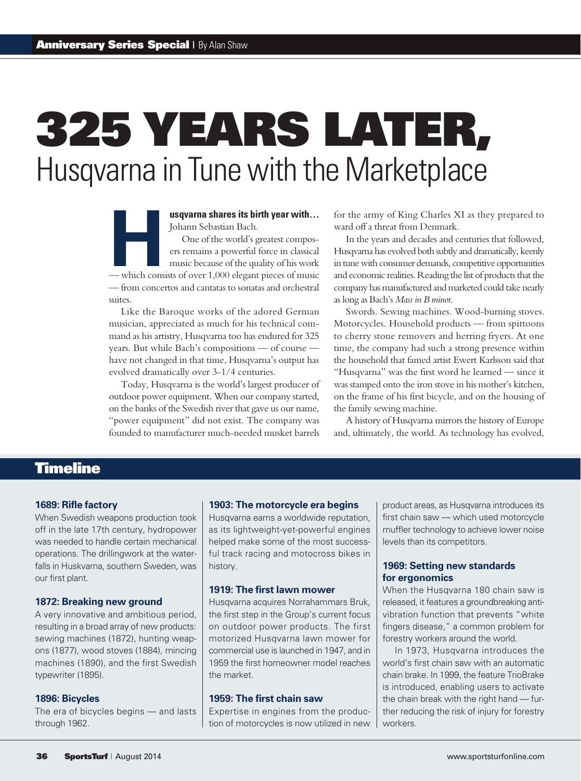# 325 Years Later, Husqvarna in Tune with the Marketplace

Johann Sebastian Bach.

**Hermannished School School School School School School School School School School School School School School School School School School School School School School School School School School School School School Schoo** One of the world's greatest composers remains a powerful force in classical music because of the quality of his work — from concertos and cantatas to sonatas and orchestral suites.

Like the Baroque works of the adored German musician, appreciated as much for his technical command as his artistry, Husqvarna too has endured for 325 years. But while Bach's compositions — of course have not changed in that time, Husqvarna's output has evolved dramatically over 3-1/4 centuries.

Today, Husqvarna is the world's largest producer of outdoor power equipment. When our company started, on the banks of the Swedish river that gave us our name, "power equipment" did not exist. The company was founded to manufacturer much-needed musket barrels for the army of King Charles XI as they prepared to ward off a threat from Denmark.

In the years and decades and centuries that followed, Husqvarna has evolved both subtly and dramatically, keenly in tune with consumer demands, competitive opportunities and economic realities. Reading the list of products that the company has manufactured and marketed could take nearly as long as Bach's *Mass in B minor*.

Swords. Sewing machines. Wood-burning stoves. Motorcycles. Household products — from spittoons to cherry stone removers and herring fryers. At one time, the company had such a strong presence within the household that famed artist Ewert Karlsson said that "Husqvarna" was the first word he learned — since it was stamped onto the iron stove in his mother's kitchen, on the frame of his first bicycle, and on the housing of the family sewing machine.

A history of Husqvarna mirrors the history of Europe and, ultimately, the world. As technology has evolved,

# Timeline

#### **1689: Rifle factory**

When Swedish weapons production took off in the late 17th century, hydropower was needed to handle certain mechanical operations. The drillingwork at the waterfalls in Huskvarna, southern Sweden, was our first plant.

#### **1872: Breaking new ground**

A very innovative and ambitious period, resulting in a broad array of new products: sewing machines (1872), hunting weapons (1877), wood stoves (1884), mincing machines (1890), and the first Swedish typewriter (1895).

#### **1896: Bicycles**

The era of bicycles begins — and lasts through 1962.

#### **1903: The motorcycle era begins**

Husqvarna earns a worldwide reputation, as its lightweight-yet-powerful engines helped make some of the most successful track racing and motocross bikes in history.

## **1919: The first lawn mower**

Husqvarna acquires Norrahammars Bruk, the first step in the Group's current focus on outdoor power products. The first motorized Husqvarna lawn mower for commercial use is launched in 1947, and in 1959 the first homeowner model reaches the market.

#### **1959: The first chain saw**

Expertise in engines from the production of motorcycles is now utilized in new product areas, as Husqvarna introduces its first chain saw — which used motorcycle muffler technology to achieve lower noise levels than its competitors.

#### **1969: Setting new standards for ergonomics**

When the Husqvarna 180 chain saw is released, it features a groundbreaking antivibration function that prevents "white fingers disease," a common problem for forestry workers around the world.

In 1973, Husqvarna introduces the world's first chain saw with an automatic chain brake. In 1999, the feature TrioBrake is introduced, enabling users to activate the chain break with the right hand — further reducing the risk of injury for forestry workers.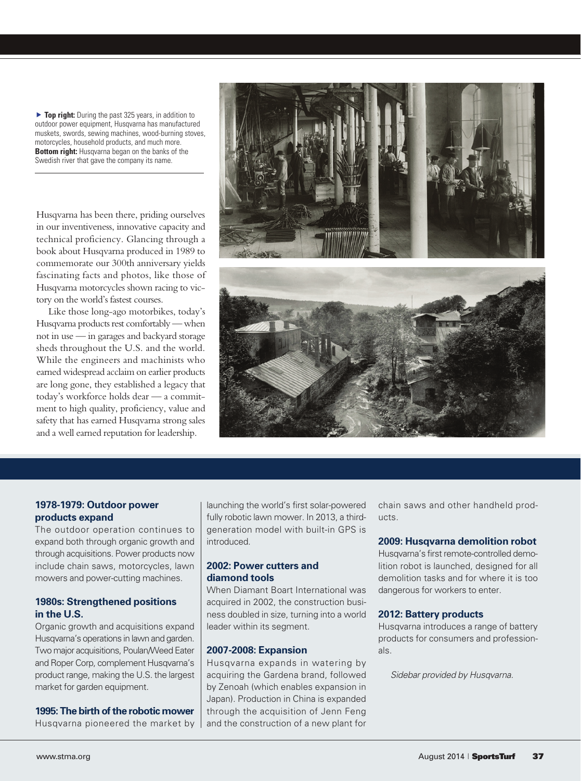**Top right:** During the past 325 years, in addition to outdoor power equipment, Husqvarna has manufactured muskets, swords, sewing machines, wood-burning stoves, motorcycles, household products, and much more. **Bottom right:** Husqvarna began on the banks of the Swedish river that gave the company its name.

Husqvarna has been there, priding ourselves in our inventiveness, innovative capacity and technical proficiency. Glancing through a book about Husqvarna produced in 1989 to commemorate our 300th anniversary yields fascinating facts and photos, like those of Husqvarna motorcycles shown racing to victory on the world's fastest courses.

Like those long-ago motorbikes, today's Husqvarna products rest comfortably — when not in use — in garages and backyard storage sheds throughout the U.S. and the world. While the engineers and machinists who earned widespread acclaim on earlier products are long gone, they established a legacy that today's workforce holds dear — a commitment to high quality, proficiency, value and safety that has earned Husqvarna strong sales and a well earned reputation for leadership.





## **1978-1979: Outdoor power products expand**

The outdoor operation continues to expand both through organic growth and through acquisitions. Power products now include chain saws, motorcycles, lawn mowers and power-cutting machines.

## **1980s: Strengthened positions in the U.S.**

Organic growth and acquisitions expand Husqvarna's operations in lawn and garden. Two major acquisitions, Poulan/Weed Eater and Roper Corp, complement Husqvarna's product range, making the U.S. the largest market for garden equipment.

**1995: The birth of the robotic mower**

Husqvarna pioneered the market by

launching the world's first solar-powered fully robotic lawn mower. In 2013, a thirdgeneration model with built-in GPS is introduced.

## **2002: Power cutters and diamond tools**

When Diamant Boart International was acquired in 2002, the construction business doubled in size, turning into a world leader within its segment.

## **2007-2008: Expansion**

Husqvarna expands in watering by acquiring the Gardena brand, followed by Zenoah (which enables expansion in Japan). Production in China is expanded through the acquisition of Jenn Feng and the construction of a new plant for chain saws and other handheld products.

# **2009: Husqvarna demolition robot**

Husqvarna's first remote-controlled demolition robot is launched, designed for all demolition tasks and for where it is too dangerous for workers to enter.

#### **2012: Battery products**

Husqvarna introduces a range of battery products for consumers and professionals.

*Sidebar provided by Husqvarna.*